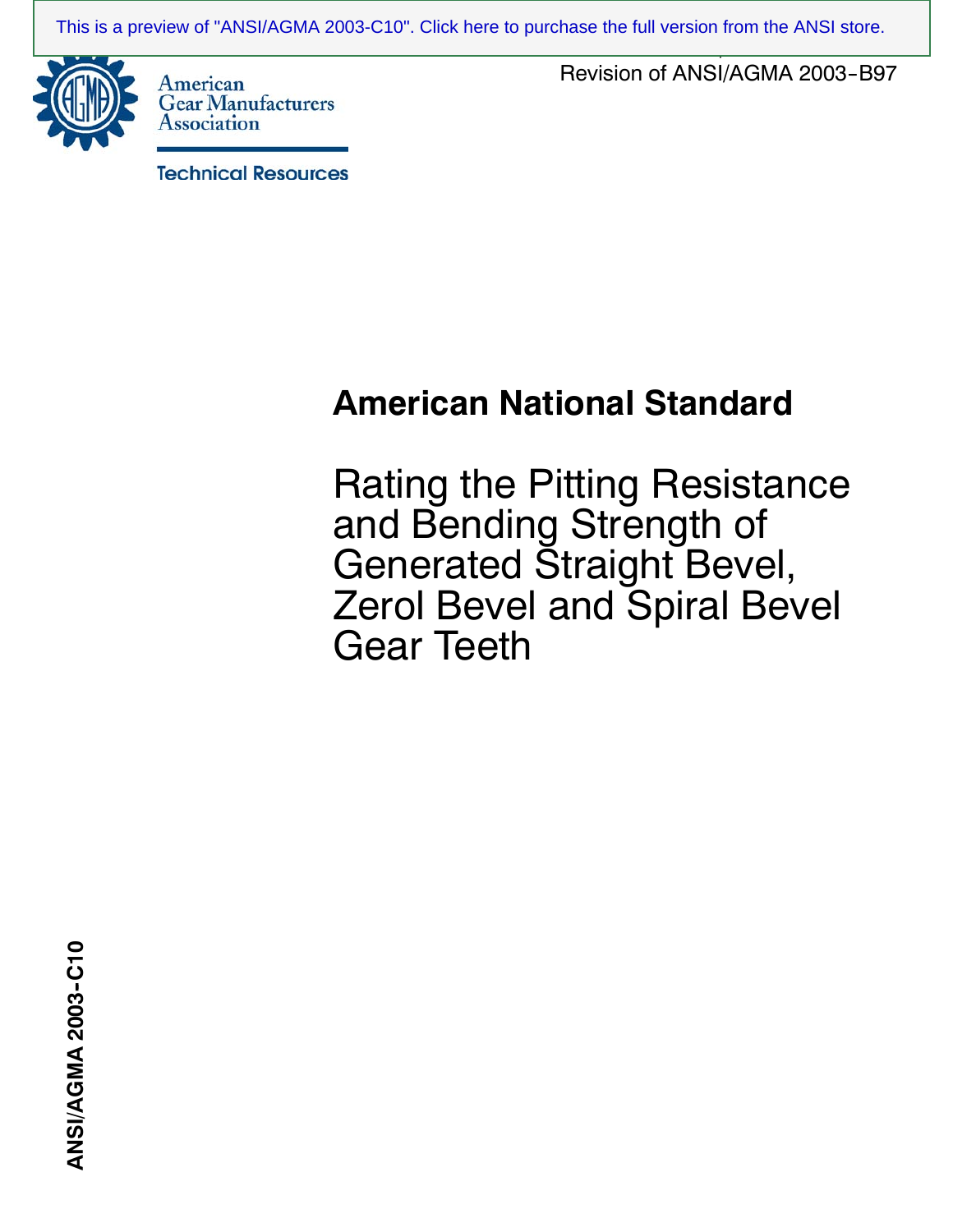[This is a preview of "ANSI/AGMA 2003-C10". Click here to purchase the full version from the ANSI store.](https://webstore.ansi.org/Standards/AGMA/ANSIAGMA2003C10?source=preview)



American **Gear Manufacturers** Association

**Technical Resources** 

Revision of ANSI/AGMA 2003-B97

**ANSI/AGMA 2003--C10**

# **American National Standard**

Rating the Pitting Resistance and Bending Strength of Generated Straight Bevel, Zerol Bevel and Spiral Bevel Gear Teeth

**ANSI/AGMA 2003-C10 ANSI/AGMA 2003--C10**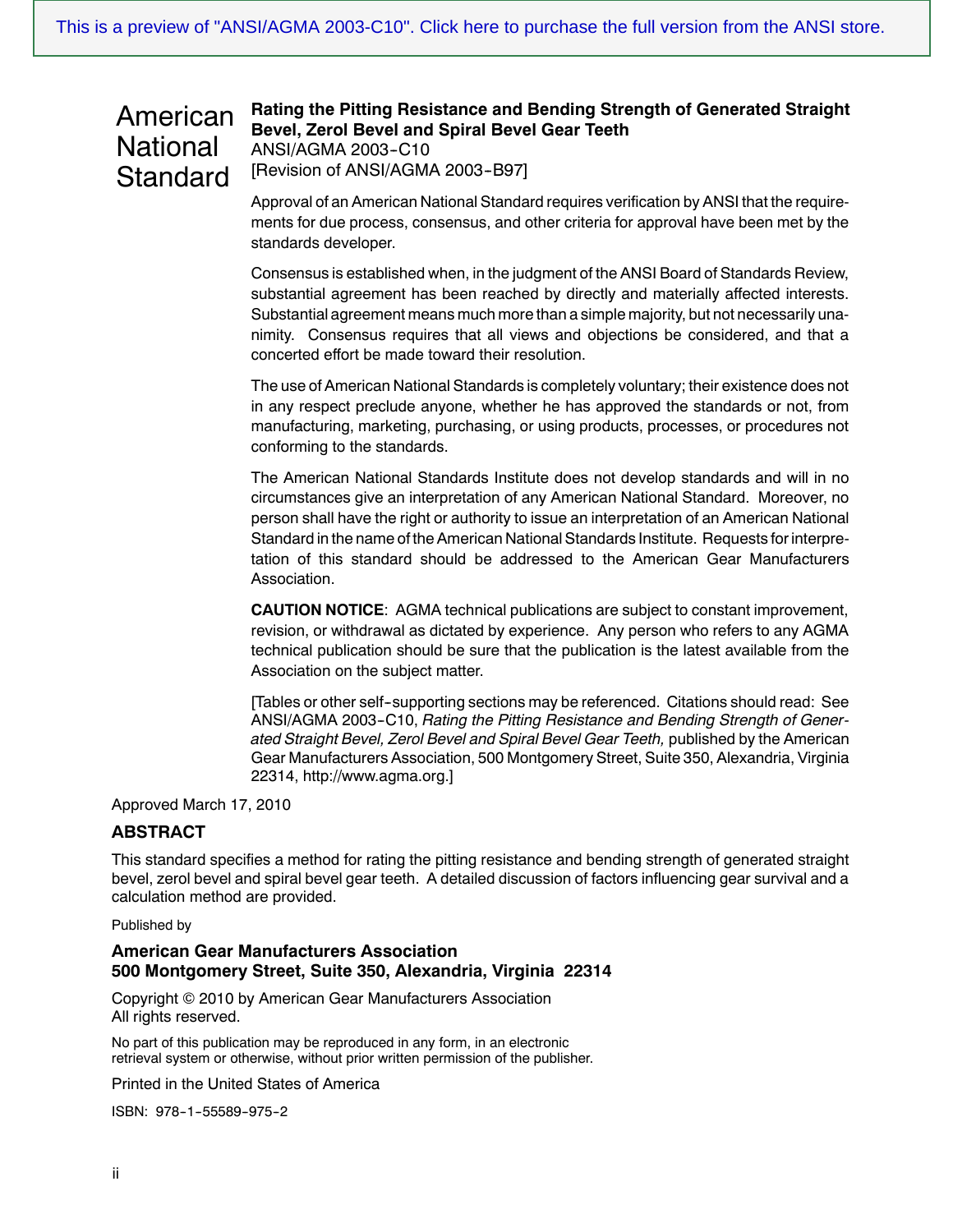## American **National Standard**

## **Rating the Pitting Resistance and Bending Strength of Generated Straight Bevel, Zerol Bevel and Spiral Bevel Gear Teeth** ANSI/AGMA 2003-C10 [Revision of ANSI/AGMA 2003-B97]

Approval of an American National Standard requires verification by ANSI that the requirements for due process, consensus, and other criteria for approval have been met by the standards developer.

Consensus is established when, in the judgment of the ANSI Board of Standards Review, substantial agreement has been reached by directly and materially affected interests. Substantial agreement means much more than a simple majority, but not necessarily unanimity. Consensus requires that all views and objections be considered, and that a concerted effort be made toward their resolution.

The use of American National Standards is completely voluntary; their existence does not in any respect preclude anyone, whether he has approved the standards or not, from manufacturing, marketing, purchasing, or using products, processes, or procedures not conforming to the standards.

The American National Standards Institute does not develop standards and will in no circumstances give an interpretation of any American National Standard. Moreover, no person shall have the right or authority to issue an interpretation of an American National Standard in the name of the American National Standards Institute. Requests for interpretation of this standard should be addressed to the American Gear Manufacturers Association.

**CAUTION NOTICE**: AGMA technical publications are subject to constant improvement, revision, or withdrawal as dictated by experience. Any person who refers to any AGMA technical publication should be sure that the publication is the latest available from the Association on the subject matter.

[Tables or other self--supporting sections may be referenced. Citations should read: See ANSI/AGMA 2003-C10, *Rating the Pitting Resistance and Bending Strength of Generated Straight Bevel, Zerol Bevel and Spiral Bevel Gear Teeth,* published by the American Gear Manufacturers Association, 500 Montgomery Street, Suite 350, Alexandria, Virginia 22314, http://www.agma.org.]

Approved March 17, 2010

## **ABSTRACT**

This standard specifies a method for rating the pitting resistance and bending strength of generated straight bevel, zerol bevel and spiral bevel gear teeth. A detailed discussion of factors influencing gear survival and a calculation method are provided.

Published by

#### **American Gear Manufacturers Association 500 Montgomery Street, Suite 350, Alexandria, Virginia 22314**

Copyright 2010 by American Gear Manufacturers Association All rights reserved.

No part of this publication may be reproduced in any form, in an electronic retrieval system or otherwise, without prior written permission of the publisher.

Printed in the United States of America

ISBN: 978-1-55589-975-2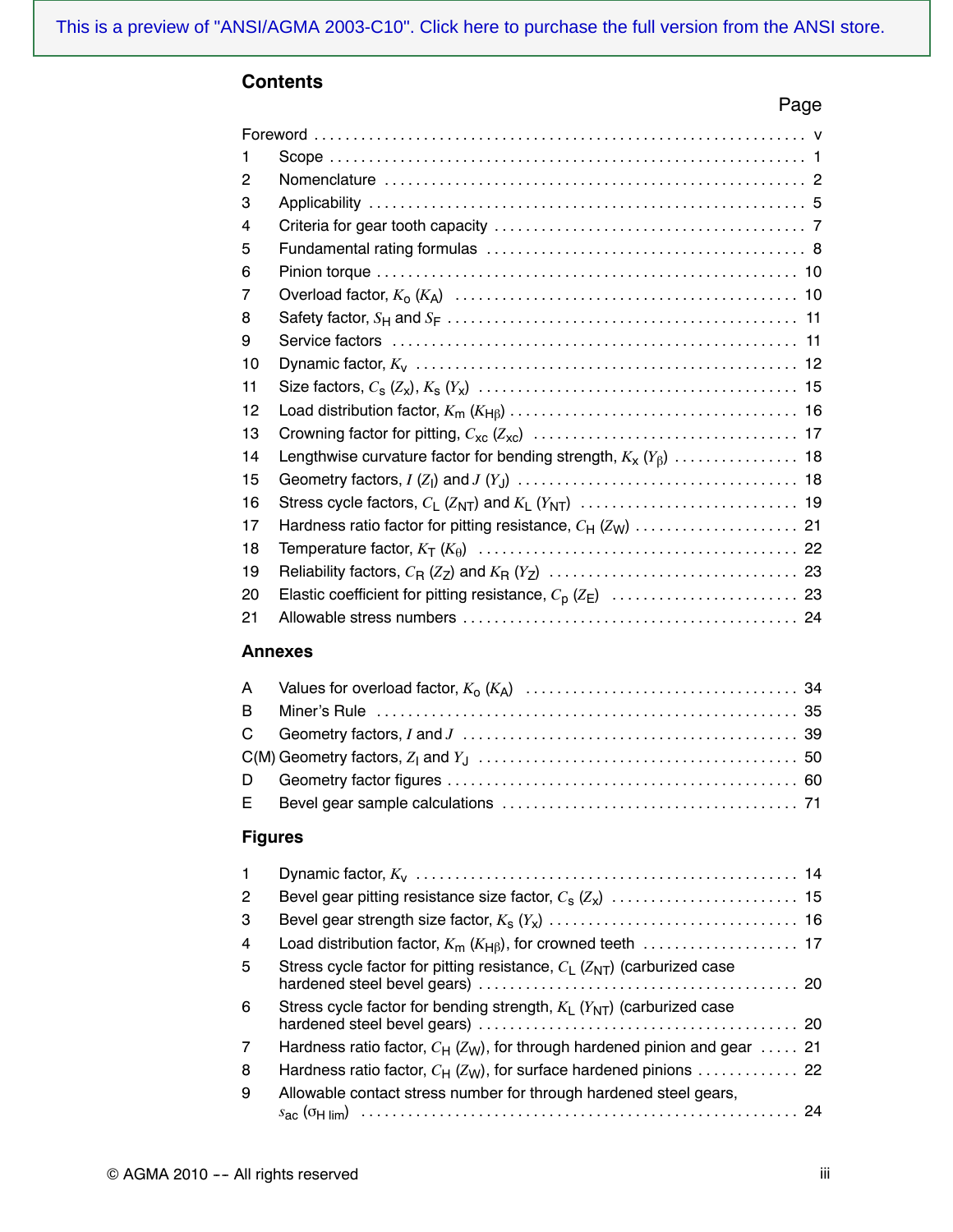## **Contents**

## Page

| 1  |  |  |
|----|--|--|
| 2  |  |  |
| 3  |  |  |
| 4  |  |  |
| 5  |  |  |
| 6  |  |  |
| 7  |  |  |
| 8  |  |  |
| 9  |  |  |
| 10 |  |  |
| 11 |  |  |
| 12 |  |  |
| 13 |  |  |
| 14 |  |  |
| 15 |  |  |
| 16 |  |  |
| 17 |  |  |
| 18 |  |  |
| 19 |  |  |
| 20 |  |  |
| 21 |  |  |

## **Annexes**

## **Figures**

| $\mathbf{1}$   |                                                                                 |
|----------------|---------------------------------------------------------------------------------|
| $\overline{2}$ |                                                                                 |
| 3              |                                                                                 |
| $\overline{4}$ |                                                                                 |
| -5             | Stress cycle factor for pitting resistance, $C_1$ ( $Z_{NT}$ ) (carburized case |
| 6              | Stress cycle factor for bending strength, $K_L$ ( $Y_{NT}$ ) (carburized case   |
| 7              | Hardness ratio factor, $C_H (Z_W)$ , for through hardened pinion and gear  21   |
| 8              |                                                                                 |
| 9              | Allowable contact stress number for through hardened steel gears,               |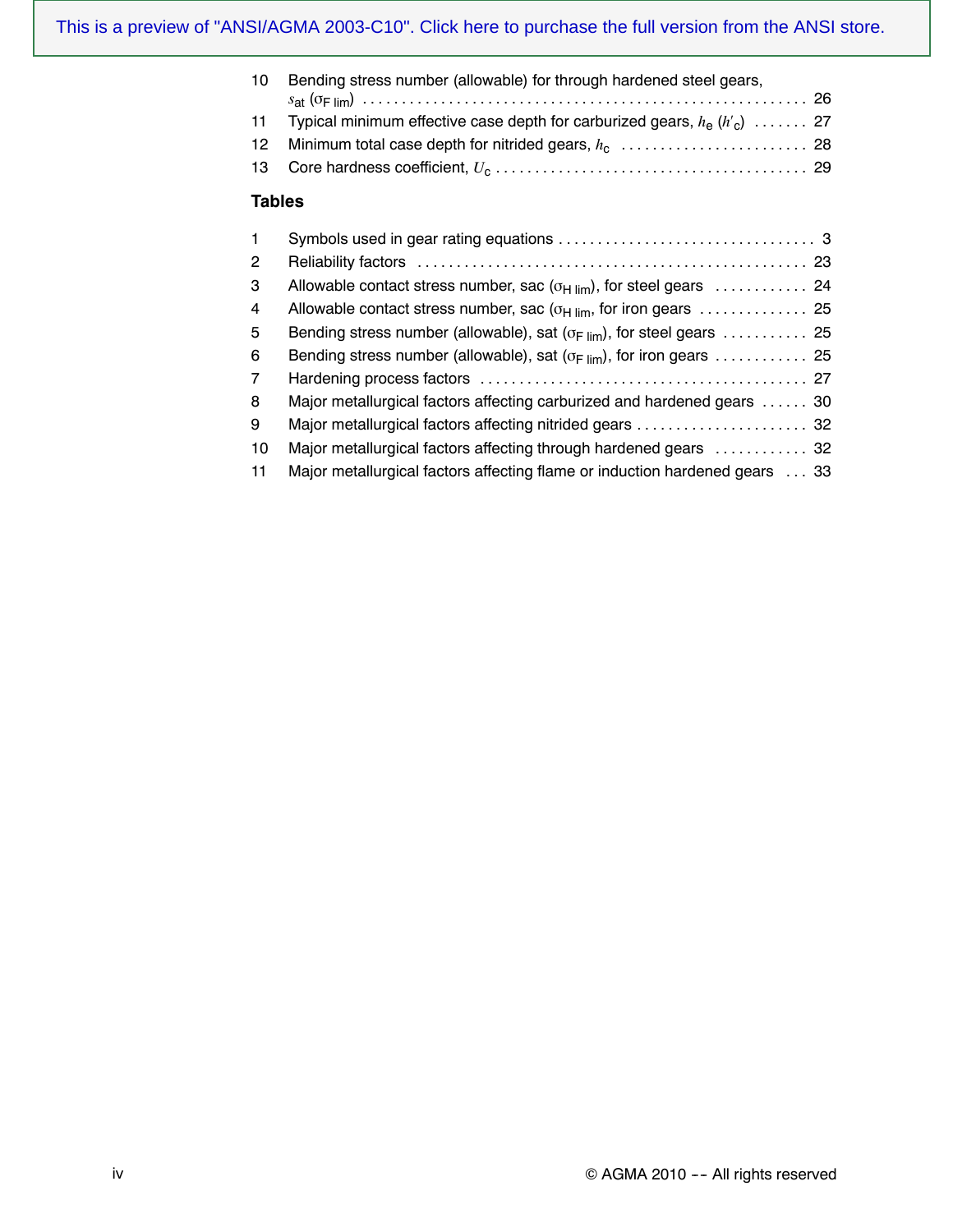| 10 | Bending stress number (allowable) for through hardened steel gears,                      |  |
|----|------------------------------------------------------------------------------------------|--|
|    |                                                                                          |  |
|    | 11 Typical minimum effective case depth for carburized gears, $h_{\rm e}(h_{\rm c}')$ 27 |  |
|    |                                                                                          |  |
|    |                                                                                          |  |

## **Tables**

| $\mathbf{1}$         |                                                                                         |
|----------------------|-----------------------------------------------------------------------------------------|
| $\mathbf{2}^{\circ}$ |                                                                                         |
| 3                    | Allowable contact stress number, sac ( $\sigma_{\text{H lim}}$ ), for steel gears  24   |
| 4                    |                                                                                         |
| 5                    | Bending stress number (allowable), sat ( $\sigma_{\text{F lim}}$ ), for steel gears  25 |
| 6                    | Bending stress number (allowable), sat ( $\sigma_{\text{F lim}}$ ), for iron gears  25  |
| $\overline{7}$       |                                                                                         |
| 8                    | Major metallurgical factors affecting carburized and hardened gears  30                 |
| 9                    | Major metallurgical factors affecting nitrided gears  32                                |
| 10                   | Major metallurgical factors affecting through hardened gears  32                        |
| 11                   | Major metallurgical factors affecting flame or induction hardened gears  33             |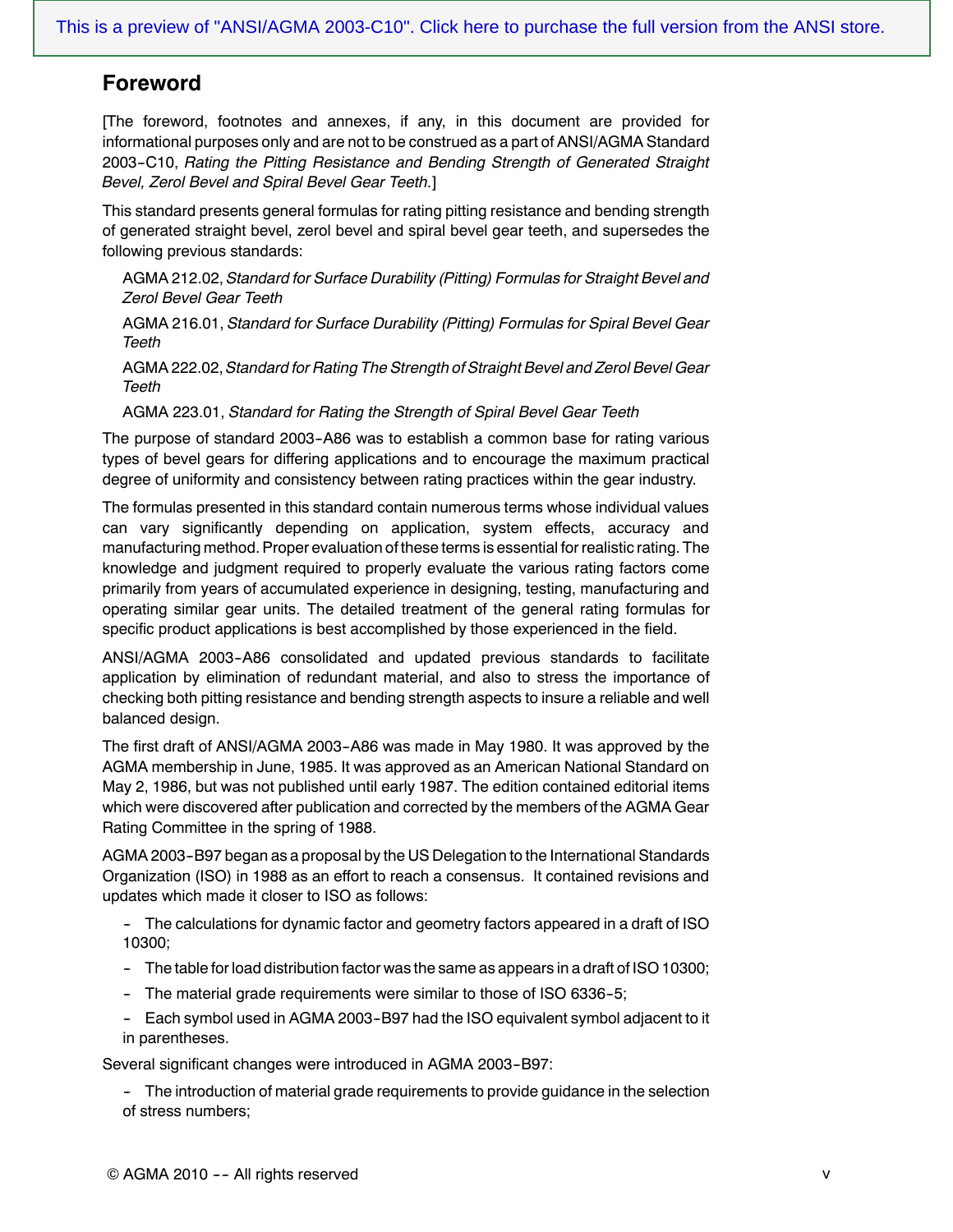## **Foreword**

[The foreword, footnotes and annexes, if any, in this document are provided for informational purposes only and are not to be construed as a part of ANSI/AGMA Standard 2003-C10, *Rating the Pitting Resistance and Bending Strength of Generated Straight Bevel, Zerol Bevel and Spiral Bevel Gear Teeth.*]

This standard presents general formulas for rating pitting resistance and bending strength of generated straight bevel, zerol bevel and spiral bevel gear teeth, and supersedes the following previous standards:

AGMA 212.02, *Standard for Surface Durability (Pitting) Formulas for Straight Bevel and Zerol Bevel Gear Teeth*

AGMA 216.01, *Standard for Surface Durability (Pitting) Formulas for Spiral Bevel Gear Teeth*

AGMA 222.02, *Standard for Rating The Strength of Straight Bevel and Zerol Bevel Gear Teeth*

AGMA 223.01, *Standard for Rating the Strength of Spiral Bevel Gear Teeth*

The purpose of standard 2003-A86 was to establish a common base for rating various types of bevel gears for differing applications and to encourage the maximum practical degree of uniformity and consistency between rating practices within the gear industry.

The formulas presented in this standard contain numerous terms whose individual values can vary significantly depending on application, system effects, accuracy and manufacturing method. Proper evaluation of these terms is essential for realistic rating. The knowledge and judgment required to properly evaluate the various rating factors come primarily from years of accumulated experience in designing, testing, manufacturing and operating similar gear units. The detailed treatment of the general rating formulas for specific product applications is best accomplished by those experienced in the field.

ANSI/AGMA 2003-A86 consolidated and updated previous standards to facilitate application by elimination of redundant material, and also to stress the importance of checking both pitting resistance and bending strength aspects to insure a reliable and well balanced design.

The first draft of ANSI/AGMA 2003-A86 was made in May 1980. It was approved by the AGMA membership in June, 1985. It was approved as an American National Standard on May 2, 1986, but was not published until early 1987. The edition contained editorial items which were discovered after publication and corrected by the members of the AGMA Gear Rating Committee in the spring of 1988.

AGMA 2003--B97 began as a proposal by the US Delegation to the International Standards Organization (ISO) in 1988 as an effort to reach a consensus. It contained revisions and updates which made it closer to ISO as follows:

- -- The calculations for dynamic factor and geometry factors appeared in a draft of ISO 10300;
- -- The table for load distribution factor was the same as appears in a draft of ISO 10300;
- The material grade requirements were similar to those of ISO 6336-5;
- Each symbol used in AGMA 2003-B97 had the ISO equivalent symbol adjacent to it in parentheses.

Several significant changes were introduced in AGMA 2003-B97:

-- The introduction of material grade requirements to provide guidance in the selection of stress numbers;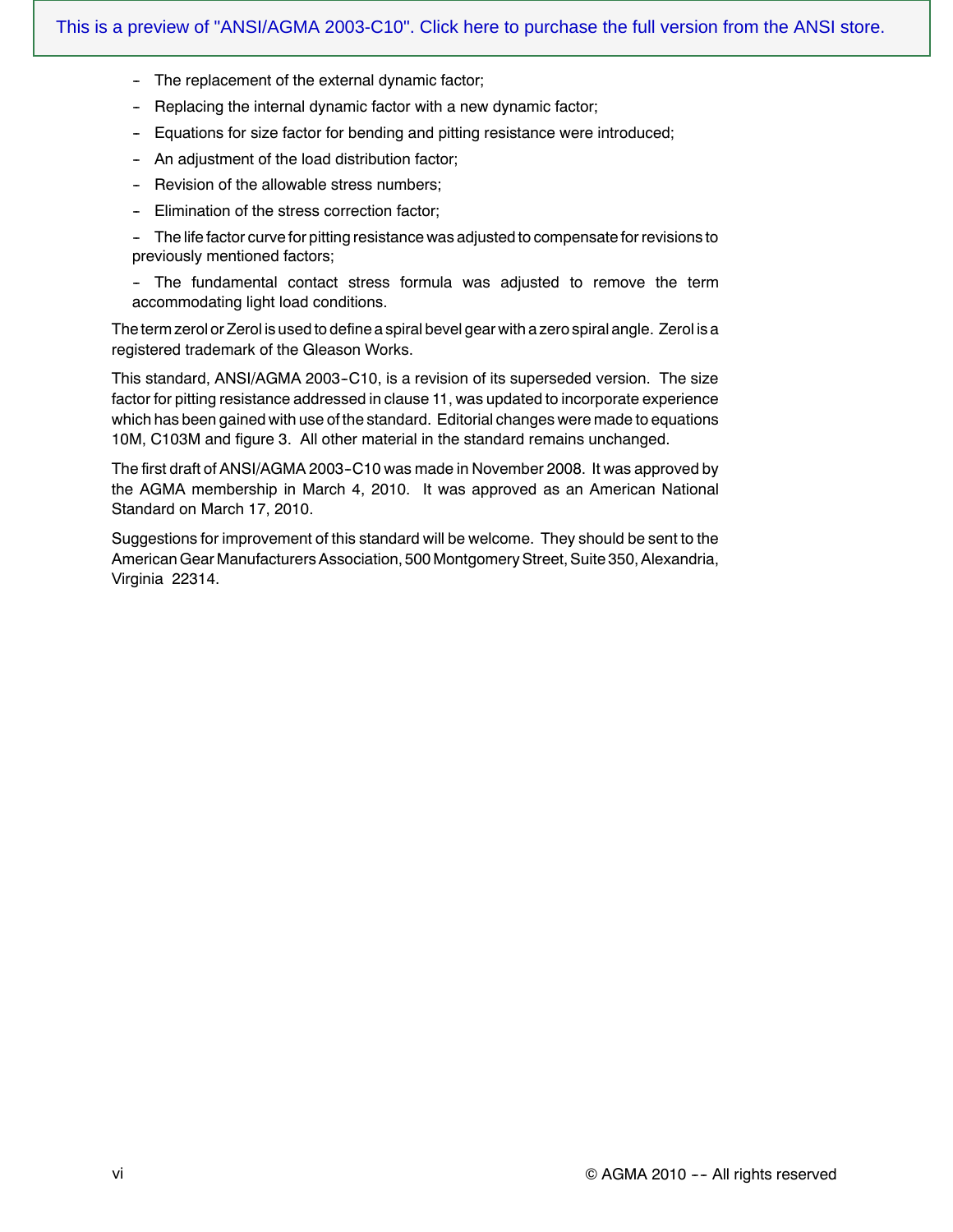- The replacement of the external dynamic factor;
- Replacing the internal dynamic factor with a new dynamic factor;
- -- Equations for size factor for bending and pitting resistance were introduced;
- An adjustment of the load distribution factor;
- Revision of the allowable stress numbers;
- Elimination of the stress correction factor;
- The life factor curve for pitting resistance was adjusted to compensate for revisions to previously mentioned factors;
- -- The fundamental contact stress formula was adjusted to remove the term accommodating light load conditions.

The term zerol or Zerol is used to define a spiral bevel gear with a zero spiral angle. Zerol is a registered trademark of the Gleason Works.

This standard, ANSI/AGMA 2003-C10, is a revision of its superseded version. The size factor for pitting resistance addressed in clause 11, was updated to incorporate experience which has been gained with use of the standard. Editorial changes were made to equations 10M, C103M and figure 3. All other material in the standard remains unchanged.

The first draft of ANSI/AGMA 2003-C10 was made in November 2008. It was approved by the AGMA membership in March 4, 2010. It was approved as an American National Standard on March 17, 2010.

Suggestions for improvement of this standard will be welcome. They should be sent to the American Gear Manufacturers Association, 500 Montgomery Street, Suite 350, Alexandria, Virginia 22314.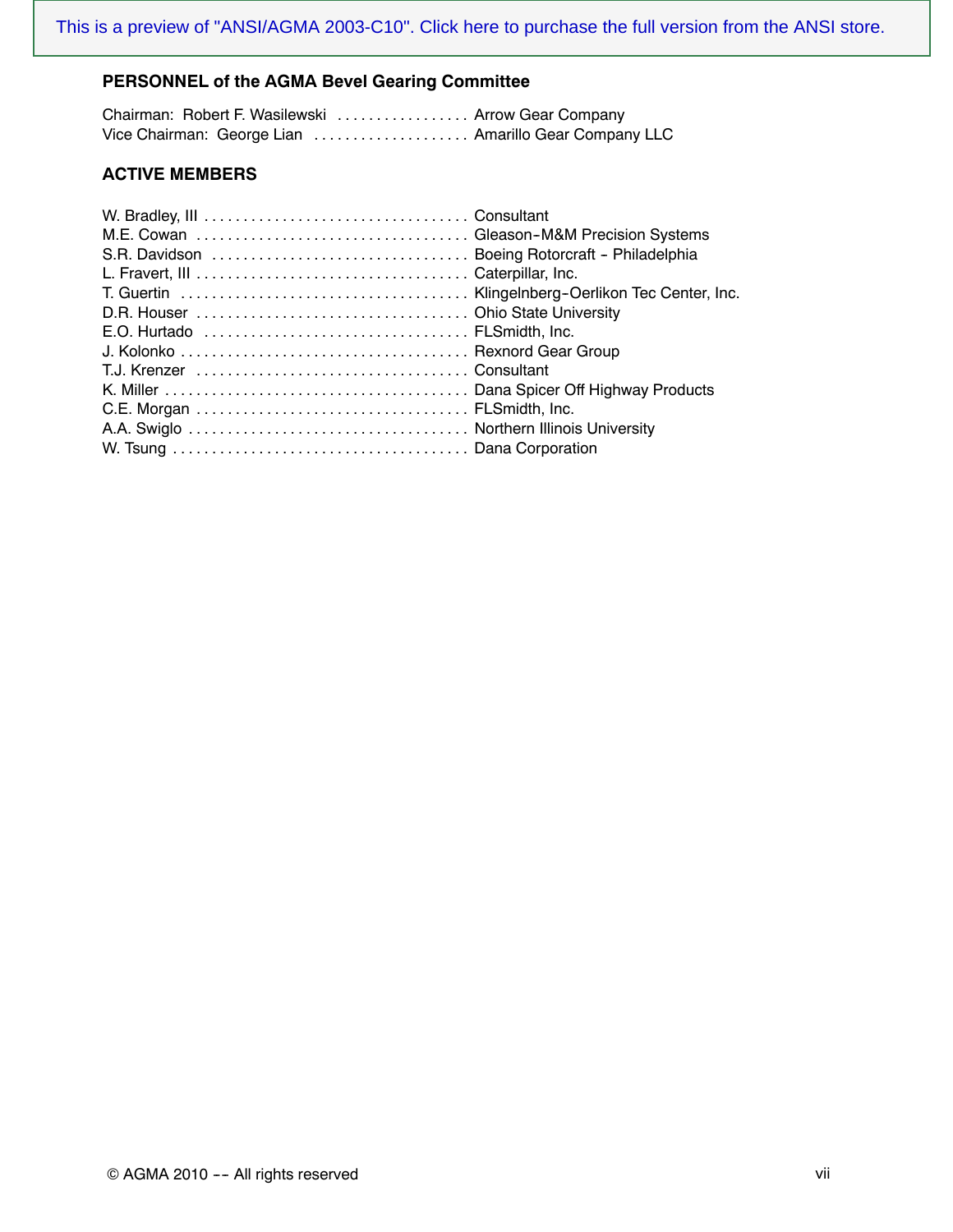## **PERSONNEL of the AGMA Bevel Gearing Committee**

| Chairman: Robert F. Wasilewski  Arrow Gear Company    |
|-------------------------------------------------------|
| Vice Chairman: George Lian  Amarillo Gear Company LLC |

## **ACTIVE MEMBERS**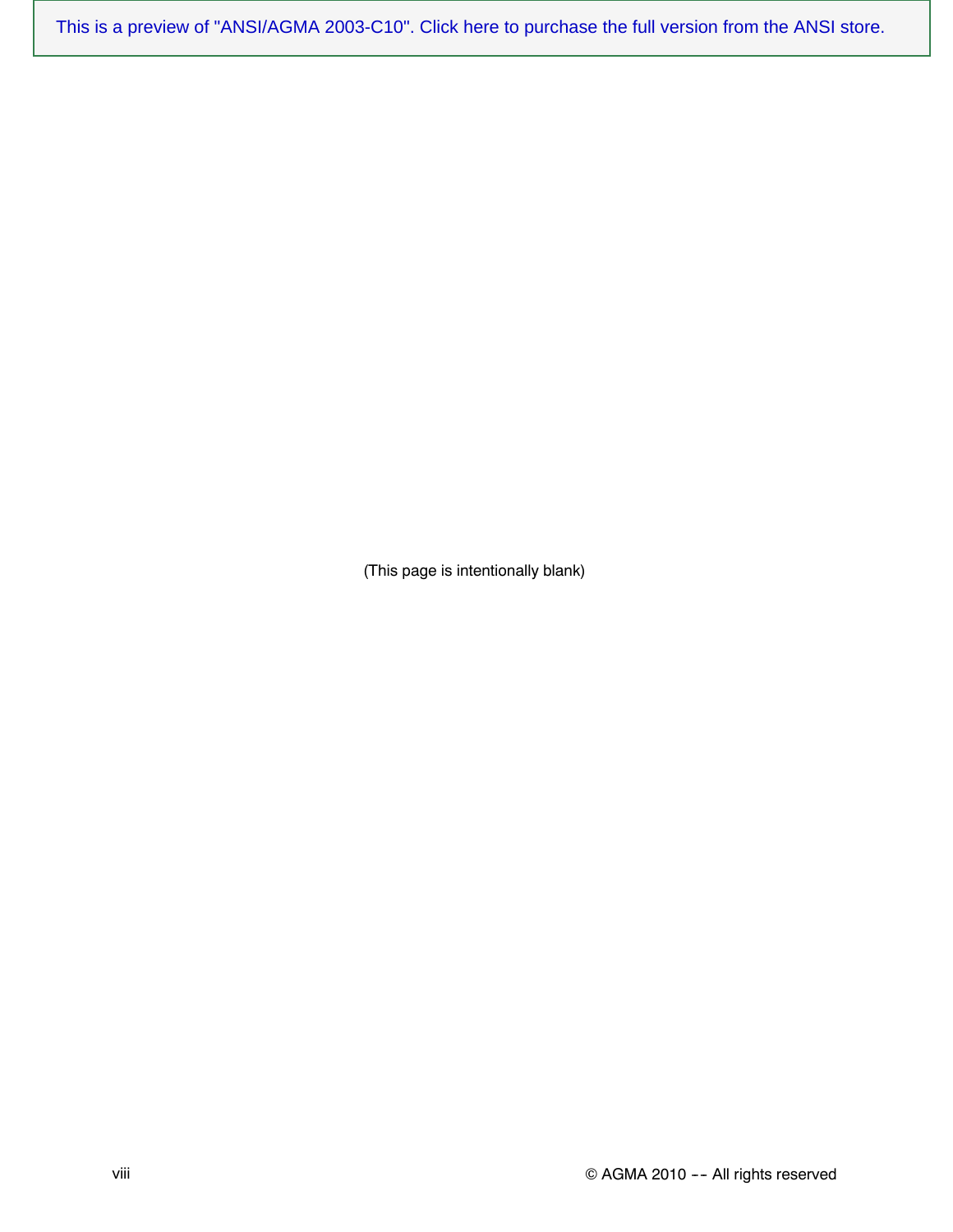[This is a preview of "ANSI/AGMA 2003-C10". Click here to purchase the full version from the ANSI store.](https://webstore.ansi.org/Standards/AGMA/ANSIAGMA2003C10?source=preview)

(This page is intentionally blank)